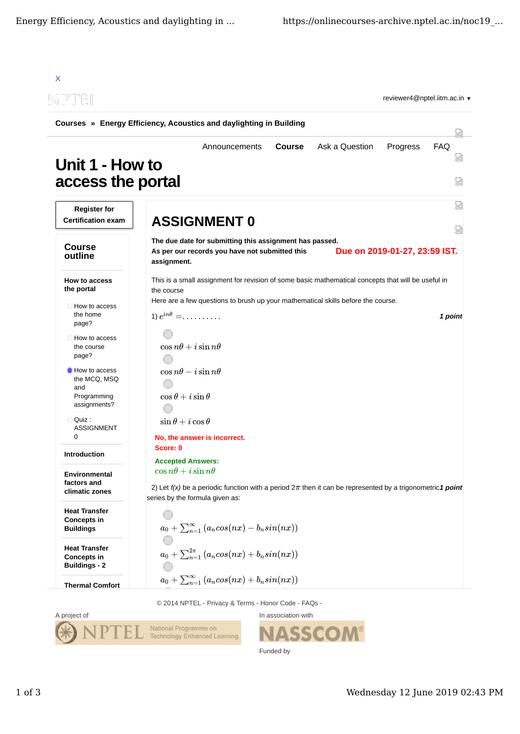| Courses » Energy Efficiency, Acoustics and daylighting in Building  |                                                                   |                                                                                                                                                                   |               |                                                                                                                                                                                        |                               |                      |
|---------------------------------------------------------------------|-------------------------------------------------------------------|-------------------------------------------------------------------------------------------------------------------------------------------------------------------|---------------|----------------------------------------------------------------------------------------------------------------------------------------------------------------------------------------|-------------------------------|----------------------|
| Unit 1 - How to<br>access the portal                                |                                                                   | Announcements                                                                                                                                                     | <b>Course</b> | Ask a Question                                                                                                                                                                         | Progress                      | 냈<br><b>FAQ</b><br>썮 |
| <b>Register for</b><br><b>Certification exam</b>                    | <b>ASSIGNMENT 0</b>                                               |                                                                                                                                                                   |               |                                                                                                                                                                                        |                               | 썮<br>떥               |
| <b>Course</b><br>outline                                            | assignment.                                                       | The due date for submitting this assignment has passed.<br>As per our records you have not submitted this                                                         |               |                                                                                                                                                                                        | Due on 2019-01-27, 23:59 IST. |                      |
| How to access<br>the portal<br>How to access<br>the home            | the course<br>1) $e^{in\theta} = \ldots \ldots \ldots$            |                                                                                                                                                                   |               | This is a small assignment for revision of some basic mathematical concepts that will be useful in<br>Here are a few questions to brush up your mathematical skills before the course. |                               | 1 point              |
| page?<br>How to access<br>the course<br>page?                       | $\cos n\theta + i\sin n\theta$                                    |                                                                                                                                                                   |               |                                                                                                                                                                                        |                               |                      |
| How to access<br>the MCQ, MSQ<br>and<br>Programming<br>assignments? | $\cos n\theta - i\sin n\theta$<br>$\cos\theta + i\sin\theta$      |                                                                                                                                                                   |               |                                                                                                                                                                                        |                               |                      |
| Quiz :<br><b>ASSIGNMENT</b><br>0                                    | $\sin\theta + i\cos\theta$<br>No, the answer is incorrect.        |                                                                                                                                                                   |               |                                                                                                                                                                                        |                               |                      |
| <b>Introduction</b>                                                 | Score: 0<br><b>Accepted Answers:</b>                              |                                                                                                                                                                   |               |                                                                                                                                                                                        |                               |                      |
| <b>Environmental</b><br>factors and<br>climatic zones               | $\cos n\theta + i\sin n\theta$<br>series by the formula given as: |                                                                                                                                                                   |               | 2) Let $f(x)$ be a periodic function with a period $2\pi$ then it can be represented by a trigonometric1 point                                                                         |                               |                      |
| <b>Heat Transfer</b><br><b>Concepts in</b><br><b>Buildings</b>      |                                                                   |                                                                                                                                                                   |               |                                                                                                                                                                                        |                               |                      |
| <b>Heat Transfer</b><br><b>Concepts in</b>                          |                                                                   | $\begin{split} a_0 + \sum_{n=1}^{\infty} \left( a_n cos(nx) - b_n sin(nx) \right) \ a_0 + \sum_{n=1}^{2\pi} \left( a_n cos(nx) + b_n sin(nx) \right) \end{split}$ |               |                                                                                                                                                                                        |                               |                      |

© 2014 NPTEL - Privacy & Terms - Honor Code - FAQs -



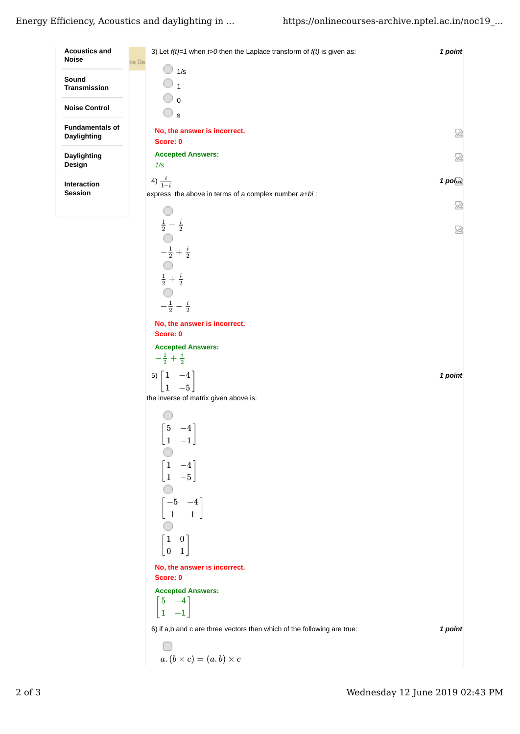| <b>Acoustics and</b><br><b>Noise</b>  | 3) Let $f(t)=1$ when $t>0$ then the Laplace transform of $f(t)$ is given as: | 1 point              |
|---------------------------------------|------------------------------------------------------------------------------|----------------------|
|                                       | ce De<br>1/s                                                                 |                      |
| Sound<br><b>Transmission</b>          | $\overline{1}$                                                               |                      |
|                                       | ್ ಂ                                                                          |                      |
| <b>Noise Control</b>                  | $\cup$ s                                                                     |                      |
| <b>Fundamentals of</b><br>Daylighting | No, the answer is incorrect.                                                 | 얺                    |
|                                       | Score: 0                                                                     |                      |
| Daylighting<br>Design                 | <b>Accepted Answers:</b><br>1/s                                              | 덣                    |
|                                       | 4) $\frac{i}{1-i}$                                                           | $1$ poi $\mathbb{R}$ |
| Interaction<br><b>Session</b>         | express the above in terms of a complex number $a+bi$ :                      |                      |
|                                       |                                                                              | 닯                    |
|                                       | $\frac{1}{2} - \frac{i}{2}$                                                  |                      |
|                                       |                                                                              | 덣                    |
|                                       | $-\frac{1}{2}+\frac{i}{2}$                                                   |                      |
|                                       |                                                                              |                      |
|                                       | $\frac{1}{2}+\frac{i}{2}$                                                    |                      |
|                                       |                                                                              |                      |
|                                       | $-\frac{1}{2}-\frac{i}{2}$                                                   |                      |
|                                       | No, the answer is incorrect.<br>Score: 0                                     |                      |
|                                       | <b>Accepted Answers:</b>                                                     |                      |
|                                       | $-\frac{1}{2}+\frac{i}{2}$                                                   |                      |
|                                       |                                                                              | 1 point              |
|                                       | $\begin{bmatrix} 1 & -4 \\ 1 & -5 \end{bmatrix}$                             |                      |
|                                       | the inverse of matrix given above is:                                        |                      |
|                                       |                                                                              |                      |
|                                       | $\begin{bmatrix} 5 & -4 \end{bmatrix}$                                       |                      |
|                                       | $\begin{bmatrix} 1 & -1 \end{bmatrix}$                                       |                      |
|                                       |                                                                              |                      |
|                                       | $\begin{bmatrix} 1 & -4 \\ 1 & -5 \end{bmatrix}$                             |                      |
|                                       |                                                                              |                      |
|                                       | $\begin{bmatrix} -5 & -4 \\ 1 & 1 \end{bmatrix}$                             |                      |
|                                       |                                                                              |                      |
|                                       | $\begin{bmatrix} 1 & 0 \\ 0 & 1 \end{bmatrix}$                               |                      |
|                                       |                                                                              |                      |
|                                       | No, the answer is incorrect.                                                 |                      |
|                                       | Score: 0                                                                     |                      |
|                                       | <b>Accepted Answers:</b>                                                     |                      |
|                                       | $\begin{bmatrix} 5 & -4 \\ 1 & -1 \end{bmatrix}$                             |                      |
|                                       | 6) if a,b and c are three vectors then which of the following are true:      | 1 point              |
|                                       |                                                                              |                      |
|                                       | $a.\, (b \times c) = (a.b) \times c$                                         |                      |